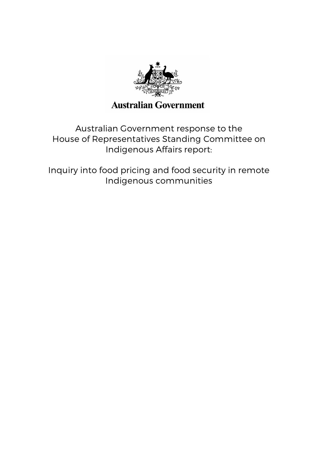

# **Australian Government**

Australian Government response to the House of Representatives Standing Committee on Indigenous Affairs report:

Inquiry into food pricing and food security in remote Indigenous communities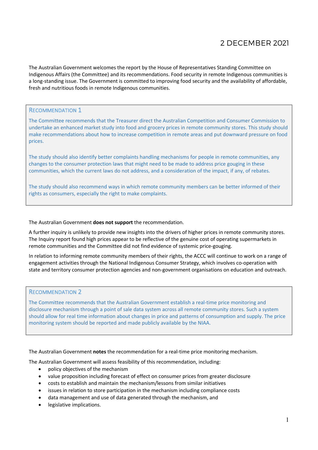# 2 DECEMBER 2021

The Australian Government welcomes the report by the House of Representatives Standing Committee on Indigenous Affairs (the Committee) and its recommendations. Food security in remote Indigenous communities is a long-standing issue. The Government is committed to improving food security and the availability of affordable, fresh and nutritious foods in remote Indigenous communities.

#### RECOMMENDATION 1

The Committee recommends that the Treasurer direct the Australian Competition and Consumer Commission to undertake an enhanced market study into food and grocery prices in remote community stores. This study should make recommendations about how to increase competition in remote areas and put downward pressure on food prices.

The study should also identify better complaints handling mechanisms for people in remote communities, any changes to the consumer protection laws that might need to be made to address price gouging in these communities, which the current laws do not address, and a consideration of the impact, if any, of rebates.

The study should also recommend ways in which remote community members can be better informed of their rights as consumers, especially the right to make complaints.

#### The Australian Government **does not support** the recommendation.

A further inquiry is unlikely to provide new insights into the drivers of higher prices in remote community stores. The Inquiry report found high prices appear to be reflective of the genuine cost of operating supermarkets in remote communities and the Committee did not find evidence of systemic price-gouging.

In relation to informing remote community members of their rights, the ACCC will continue to work on a range of engagement activities through the National Indigenous Consumer Strategy, which involves co-operation with state and territory consumer protection agencies and non-government organisations on education and outreach.

## RECOMMENDATION 2

The Committee recommends that the Australian Government establish a real-time price monitoring and disclosure mechanism through a point of sale data system across all remote community stores. Such a system should allow for real time information about changes in price and patterns of consumption and supply. The price monitoring system should be reported and made publicly available by the NIAA.

The Australian Government **notes** the recommendation for a real-time price monitoring mechanism.

The Australian Government will assess feasibility of this recommendation, including:

- policy objectives of the mechanism
- value proposition including forecast of effect on consumer prices from greater disclosure
- costs to establish and maintain the mechanism/lessons from similar initiatives
- issues in relation to store participation in the mechanism including compliance costs
- data management and use of data generated through the mechanism, and
- legislative implications.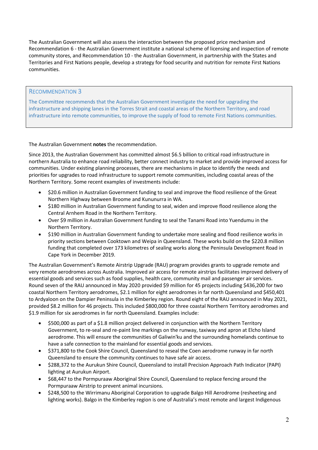The Australian Government will also assess the interaction between the proposed price mechanism and Recommendation 6 - the Australian Government institute a national scheme of licensing and inspection of remote community stores, and Recommendation 10 - the Australian Government, in partnership with the States and Territories and First Nations people, develop a strategy for food security and nutrition for remote First Nations communities.

# RECOMMENDATION 3

The Committee recommends that the Australian Government investigate the need for upgrading the infrastructure and shipping lanes in the Torres Strait and coastal areas of the Northern Territory, and road infrastructure into remote communities, to improve the supply of food to remote First Nations communities.

The Australian Government **notes** the recommendation.

Since 2013, the Australian Government has committed almost \$6.5 billion to critical road infrastructure in northern Australia to enhance road reliability, better connect industry to market and provide improved access for communities. Under existing planning processes, there are mechanisms in place to identify the needs and priorities for upgrades to road infrastructure to support remote communities, including coastal areas of the Northern Territory. Some recent examples of investments include:

- \$20.6 million in Australian Government funding to seal and improve the flood resilience of the Great Northern Highway between Broome and Kununurra in WA.
- \$180 million in Australian Government funding to seal, widen and improve flood resilience along the Central Arnhem Road in the Northern Territory.
- Over \$9 million in Australian Government funding to seal the Tanami Road into Yuendumu in the Northern Territory.
- \$190 million in Australian Government funding to undertake more sealing and flood resilience works in priority sections between Cooktown and Weipa in Queensland. These works build on the \$220.8 million funding that completed over 173 kilometres of sealing works along the Peninsula Development Road in Cape York in December 2019.

The Australian Government's Remote Airstrip Upgrade (RAU) program provides grants to upgrade remote and very remote aerodromes across Australia. Improved air access for remote airstrips facilitates improved delivery of essential goods and services such as food supplies, health care, community mail and passenger air services. Round seven of the RAU announced in May 2020 provided \$9 million for 45 projects including \$436,200 for two coastal Northern Territory aerodromes, \$2.1 million for eight aerodromes in far north Queensland and \$450,401 to Ardyaloon on the Dampier Peninsula in the Kimberley region. Round eight of the RAU announced in May 2021, provided \$8.2 million for 46 projects. This included \$800,000 for three coastal Northern Territory aerodromes and \$1.9 million for six aerodromes in far north Queensland. Examples include:

- \$500,000 as part of a \$1.8 million project delivered in conjunction with the Northern Territory Government, to re-seal and re-paint line markings on the runway, taxiway and apron at Elcho Island aerodrome. This will ensure the communities of Galiwin'ku and the surrounding homelands continue to have a safe connection to the mainland for essential goods and services.
- \$371,800 to the Cook Shire Council, Queensland to reseal the Coen aerodrome runway in far north Queensland to ensure the community continues to have safe air access.
- \$288,372 to the Aurukun Shire Council, Queensland to install Precision Approach Path Indicator (PAPI) lighting at Aurukun Airport.
- \$68,447 to the Pormpuraaw Aboriginal Shire Council, Queensland to replace fencing around the Pormpuraaw Airstrip to prevent animal incursions.
- \$248,500 to the Wirrimanu Aboriginal Corporation to upgrade Balgo Hill Aerodrome (resheeting and lighting works). Balgo in the Kimberley region is one of Australia's most remote and largest Indigenous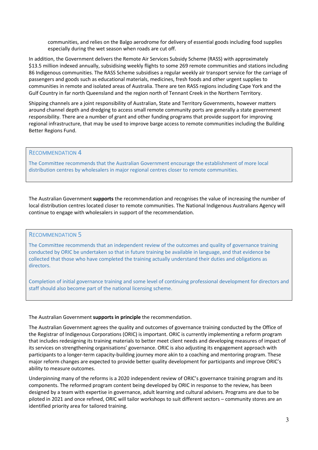communities, and relies on the Balgo aerodrome for delivery of essential goods including food supplies especially during the wet season when roads are cut off.

In addition, the Government delivers the Remote Air Services Subsidy Scheme (RASS) with approximately \$13.5 million indexed annually, subsidising weekly flights to some 269 remote communities and stations including 86 Indigenous communities. The RASS Scheme subsidises a regular weekly air transport service for the carriage of passengers and goods such as educational materials, medicines, fresh foods and other urgent supplies to communities in remote and isolated areas of Australia. There are ten RASS regions including Cape York and the Gulf Country in far north Queensland and the region north of Tennant Creek in the Northern Territory.

Shipping channels are a joint responsibility of Australian, State and Territory Governments, however matters around channel depth and dredging to access small remote community ports are generally a state government responsibility. There are a number of grant and other funding programs that provide support for improving regional infrastructure, that may be used to improve barge access to remote communities including the Building Better Regions Fund.

#### RECOMMENDATION 4

The Committee recommends that the Australian Government encourage the establishment of more local distribution centres by wholesalers in major regional centres closer to remote communities.

The Australian Government **supports** the recommendation and recognises the value of increasing the number of local distribution centres located closer to remote communities. The National Indigenous Australians Agency will continue to engage with wholesalers in support of the recommendation.

#### RECOMMENDATION 5

The Committee recommends that an independent review of the outcomes and quality of governance training conducted by ORIC be undertaken so that in future training be available in language, and that evidence be collected that those who have completed the training actually understand their duties and obligations as directors.

Completion of initial governance training and some level of continuing professional development for directors and staff should also become part of the national licensing scheme.

The Australian Government **supports in principle** the recommendation.

The Australian Government agrees the quality and outcomes of governance training conducted by the Office of the Registrar of Indigenous Corporations (ORIC) is important. ORIC is currently implementing a reform program that includes redesigning its training materials to better meet client needs and developing measures of impact of its services on strengthening organisations' governance. ORIC is also adjusting its engagement approach with participants to a longer-term capacity-building journey more akin to a coaching and mentoring program. These major reform changes are expected to provide better quality development for participants and improve ORIC's ability to measure outcomes.

Underpinning many of the reforms is a 2020 independent review of ORIC's governance training program and its components. The reformed program content being developed by ORIC in response to the review, has been designed by a team with expertise in governance, adult learning and cultural advisers. Programs are due to be piloted in 2021 and once refined, ORIC will tailor workshops to suit different sectors – community stores are an identified priority area for tailored training.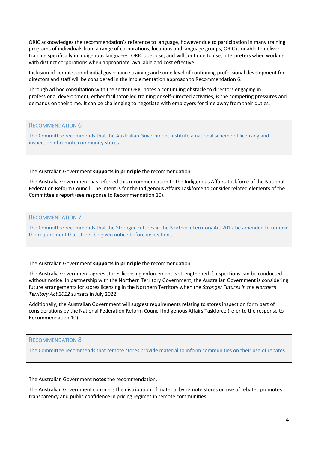ORIC acknowledges the recommendation's reference to language, however due to participation in many training programs of individuals from a range of corporations, locations and language groups, ORIC is unable to deliver training specifically in Indigenous languages. ORIC does use, and will continue to use, interpreters when working with distinct corporations when appropriate, available and cost effective.

Inclusion of completion of initial governance training and some level of continuing professional development for directors and staff will be considered in the implementation approach to Recommendation 6.

Through ad hoc consultation with the sector ORIC notes a continuing obstacle to directors engaging in professional development, either facilitator-led training or self-directed activities, is the competing pressures and demands on their time. It can be challenging to negotiate with employers for time away from their duties.

#### RECOMMENDATION 6

The Committee recommends that the Australian Government institute a national scheme of licensing and inspection of remote community stores.

The Australian Government **supports in principle** the recommendation.

The Australia Government has referred this recommendation to the Indigenous Affairs Taskforce of the National Federation Reform Council. The intent is for the Indigenous Affairs Taskforce to consider related elements of the Committee's report (see response to Recommendation 10).

RECOMMENDATION 7

The Committee recommends that the Stronger Futures in the Northern Territory Act 2012 be amended to remove the requirement that stores be given notice before inspections.

The Australian Government **supports in principle** the recommendation.

The Australia Government agrees stores licensing enforcement is strengthened if inspections can be conducted without notice. In partnership with the Northern Territory Government, the Australian Government is considering future arrangements for stores licensing in the Northern Territory when the *Stronger Futures in the Northern Territory Act 2012* sunsets in July 2022.

Additionally, the Australian Government will suggest requirements relating to stores inspection form part of considerations by the National Federation Reform Council Indigenous Affairs Taskforce (refer to the response to Recommendation 10).

# RECOMMENDATION 8

The Committee recommends that remote stores provide material to inform communities on their use of rebates.

The Australian Government **notes** the recommendation.

The Australian Government considers the distribution of material by remote stores on use of rebates promotes transparency and public confidence in pricing regimes in remote communities.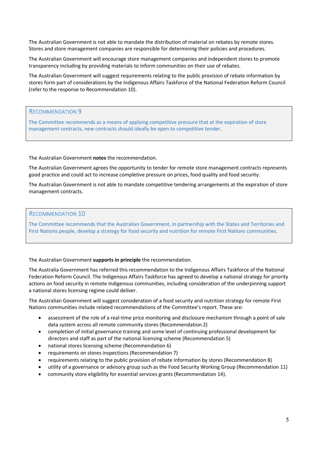The Australian Government is not able to mandate the distribution of material on rebates by remote stores. Stores and store management companies are responsible for determining their policies and procedures.

The Australian Government will encourage store management companies and independent stores to promote transparency including by providing materials to inform communities on their use of rebates.

The Australian Government will suggest requirements relating to the public provision of rebate information by stores form part of considerations by the Indigenous Affairs Taskforce of the National Federation Reform Council (refer to the response to Recommendation 10).

RECOMMENDATION 9

The Committee recommends as a means of applying competitive pressure that at the expiration of store management contracts, new contracts should ideally be open to competitive tender.

The Australian Government **notes** the recommendation.

The Australian Government agrees the opportunity to tender for remote store management contracts represents good practice and could act to increase completive pressure on prices, food quality and food security.

The Australian Government is not able to mandate competitive tendering arrangements at the expiration of store management contracts.

# RECOMMENDATION 10

The Committee recommends that the Australian Government, in partnership with the States and Territories and First Nations people, develop a strategy for food security and nutrition for remote First Nations communities.

The Australian Government **supports in principle** the recommendation.

The Australia Government has referred this recommendation to the Indigenous Affairs Taskforce of the National Federation Reform Council. The Indigenous Affairs Taskforce has agreed to develop a national strategy for priority actions on food security in remote Indigenous communities, including consideration of the underpinning support a national stores licensing regime could deliver.

The Australian Government will suggest consideration of a food security and nutrition strategy for remote First Nations communities include related recommendations of the Committee's report. These are:

- assessment of the role of a real-time price monitoring and disclosure mechanism through a point of sale data system across all remote community stores (Recommendation 2)
- completion of initial governance training and some level of continuing professional development for directors and staff as part of the national licensing scheme (Recommendation 5)
- national stores licensing scheme (Recommendation 6)
- requirements on stores inspections (Recommendation 7)
- requirements relating to the public provision of rebate information by stores (Recommendation 8)
- utility of a governance or advisory group such as the Food Security Working Group (Recommendation 11)
- community store eligibility for essential services grants (Recommendation 14).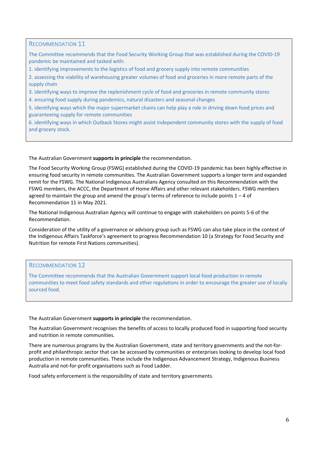# RECOMMENDATION 11

The Committee recommends that the Food Security Working Group that was established during the COVID-19 pandemic be maintained and tasked with:

1. identifying improvements to the logistics of food and grocery supply into remote communities

2. assessing the viability of warehousing greater volumes of food and groceries in more remote parts of the supply chain

3. identifying ways to improve the replenishment cycle of food and groceries in remote community stores

4. ensuring food supply during pandemics, natural disasters and seasonal changes

5. identifying ways which the major supermarket chains can help play a role in driving down food prices and guaranteeing supply for remote communities

6. identifying ways in which Outback Stores might assist independent community stores with the supply of food and grocery stock.

The Australian Government **supports in principle** the recommendation.

The Food Security Working Group (FSWG) established during the COVID-19 pandemic has been highly effective in ensuring food security in remote communities. The Australian Government supports a longer term and expanded remit for the FSWG. The National Indigenous Australians Agency consulted on this Recommendation with the FSWG members, the ACCC, the Department of Home Affairs and other relevant stakeholders. FSWG members agreed to maintain the group and amend the group's terms of reference to include points  $1 - 4$  of Recommendation 11 in May 2021.

The National Indigenous Australian Agency will continue to engage with stakeholders on points 5-6 of the Recommendation.

Consideration of the utility of a governance or advisory group such as FSWG can also take place in the context of the Indigenous Affairs Taskforce's agreement to progress Recommendation 10 (a Strategy for Food Security and Nutrition for remote First Nations communities).

#### RECOMMENDATION 12

The Committee recommends that the Australian Government support local food production in remote communities to meet food safety standards and other regulations in order to encourage the greater use of locally sourced food.

The Australian Government **supports in principle** the recommendation.

The Australian Government recognises the benefits of access to locally produced food in supporting food security and nutrition in remote communities.

There are numerous programs by the Australian Government, state and territory governments and the not-forprofit and philanthropic sector that can be accessed by communities or enterprises looking to develop local food production in remote communities. These include the Indigenous Advancement Strategy, Indigenous Business Australia and not-for-profit organisations such as Food Ladder.

Food safety enforcement is the responsibility of state and territory governments.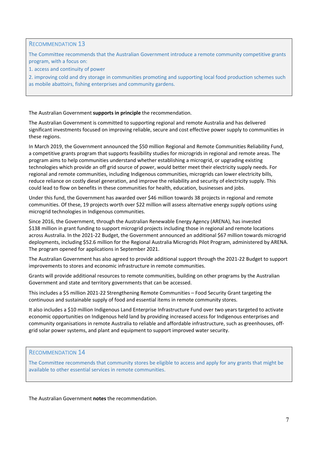# RECOMMENDATION 13

The Committee recommends that the Australian Government introduce a remote community competitive grants program, with a focus on:

1. access and continuity of power

2. improving cold and dry storage in communities promoting and supporting local food production schemes such as mobile abattoirs, fishing enterprises and community gardens.

The Australian Government **supports in principle** the recommendation.

The Australian Government is committed to supporting regional and remote Australia and has delivered significant investments focused on improving reliable, secure and cost effective power supply to communities in these regions.

In March 2019, the Government announced the \$50 million Regional and Remote Communities Reliability Fund, a competitive grants program that supports feasibility studies for microgrids in regional and remote areas. The program aims to help communities understand whether establishing a microgrid, or upgrading existing technologies which provide an off grid source of power, would better meet their electricity supply needs. For regional and remote communities, including Indigenous communities, microgrids can lower electricity bills, reduce reliance on costly diesel generation, and improve the reliability and security of electricity supply. This could lead to flow on benefits in these communities for health, education, businesses and jobs.

Under this fund, the Government has awarded over \$46 million towards 38 projects in regional and remote communities. Of these, 19 projects worth over \$22 million will assess alternative energy supply options using microgrid technologies in Indigenous communities.

Since 2016, the Government, through the Australian Renewable Energy Agency (ARENA), has invested \$138 million in grant funding to support microgrid projects including those in regional and remote locations across Australia. In the 2021-22 Budget, the Government announced an additional \$67 million towards microgrid deployments, including \$52.6 million for the Regional Australia Microgrids Pilot Program, administered by ARENA. The program opened for applications in September 2021.

The Australian Government has also agreed to provide additional support through the 2021-22 Budget to support improvements to stores and economic infrastructure in remote communities.

Grants will provide additional resources to remote communities, building on other programs by the Australian Government and state and territory governments that can be accessed.

This includes a \$5 million 2021-22 Strengthening Remote Communities – Food Security Grant targeting the continuous and sustainable supply of food and essential items in remote community stores.

It also includes a \$10 million Indigenous Land Enterprise Infrastructure Fund over two years targeted to activate economic opportunities on Indigenous held land by providing increased access for Indigenous enterprises and community organisations in remote Australia to reliable and affordable infrastructure, such as greenhouses, offgrid solar power systems, and plant and equipment to support improved water security.

# RECOMMENDATION 14

The Committee recommends that community stores be eligible to access and apply for any grants that might be available to other essential services in remote communities.

The Australian Government **notes** the recommendation.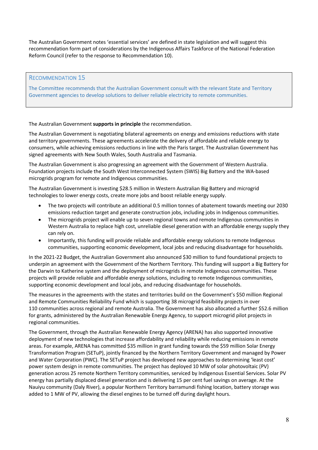The Australian Government notes 'essential services' are defined in state legislation and will suggest this recommendation form part of considerations by the Indigenous Affairs Taskforce of the National Federation Reform Council (refer to the response to Recommendation 10).

#### RECOMMENDATION 15

The Committee recommends that the Australian Government consult with the relevant State and Territory Government agencies to develop solutions to deliver reliable electricity to remote communities.

The Australian Government **supports in principle** the recommendation.

The Australian Government is negotiating bilateral agreements on energy and emissions reductions with state and territory governments. These agreements accelerate the delivery of affordable and reliable energy to consumers, while achieving emissions reductions in line with the Paris target. The Australian Government has signed agreements with New South Wales, South Australia and Tasmania.

The Australian Government is also progressing an agreement with the Government of Western Australia. Foundation projects include the South West Interconnected System (SWIS) Big Battery and the WA-based microgrids program for remote and Indigenous communities.

The Australian Government is investing \$28.5 million in Western Australian Big Battery and microgrid technologies to lower energy costs, create more jobs and boost reliable energy supply.

- The two projects will contribute an additional 0.5 million tonnes of abatement towards meeting our 2030 emissions reduction target and generate construction jobs, including jobs in Indigenous communities.
- The microgrids project will enable up to seven regional towns and remote Indigenous communities in Western Australia to replace high cost, unreliable diesel generation with an affordable energy supply they can rely on.
- Importantly, this funding will provide reliable and affordable energy solutions to remote Indigenous communities, supporting economic development, local jobs and reducing disadvantage for households.

In the 2021-22 Budget, the Australian Government also announced \$30 million to fund foundational projects to underpin an agreement with the Government of the Northern Territory. This funding will support a Big Battery for the Darwin to Katherine system and the deployment of microgrids in remote Indigenous communities. These projects will provide reliable and affordable energy solutions, including to remote Indigenous communities, supporting economic development and local jobs, and reducing disadvantage for households.

The measures in the agreements with the states and territories build on the Government's \$50 million Regional and Remote Communities Reliability Fund which is supporting 38 microgrid feasibility projects in over 110 communities across regional and remote Australia. The Government has also allocated a further \$52.6 million for grants, administered by the Australian Renewable Energy Agency, to support microgrid pilot projects in regional communities.

The Government, through the Australian Renewable Energy Agency (ARENA) has also supported innovative deployment of new technologies that increase affordability and reliability while reducing emissions in remote areas. For example, ARENA has committed \$35 million in grant funding towards the \$59 million Solar Energy Transformation Program (SETuP), jointly financed by the Northern Territory Government and managed by Power and Water Corporation (PWC). The SETuP project has developed new approaches to determining 'least cost' power system design in remote communities. The project has deployed 10 MW of solar photovoltaic (PV) generation across 25 remote Northern Territory communities, serviced by Indigenous Essential Services. Solar PV energy has partially displaced diesel generation and is delivering 15 per cent fuel savings on average. At the Nauiyu community (Daly River), a popular Northern Territory barramundi fishing location, battery storage was added to 1 MW of PV, allowing the diesel engines to be turned off during daylight hours.